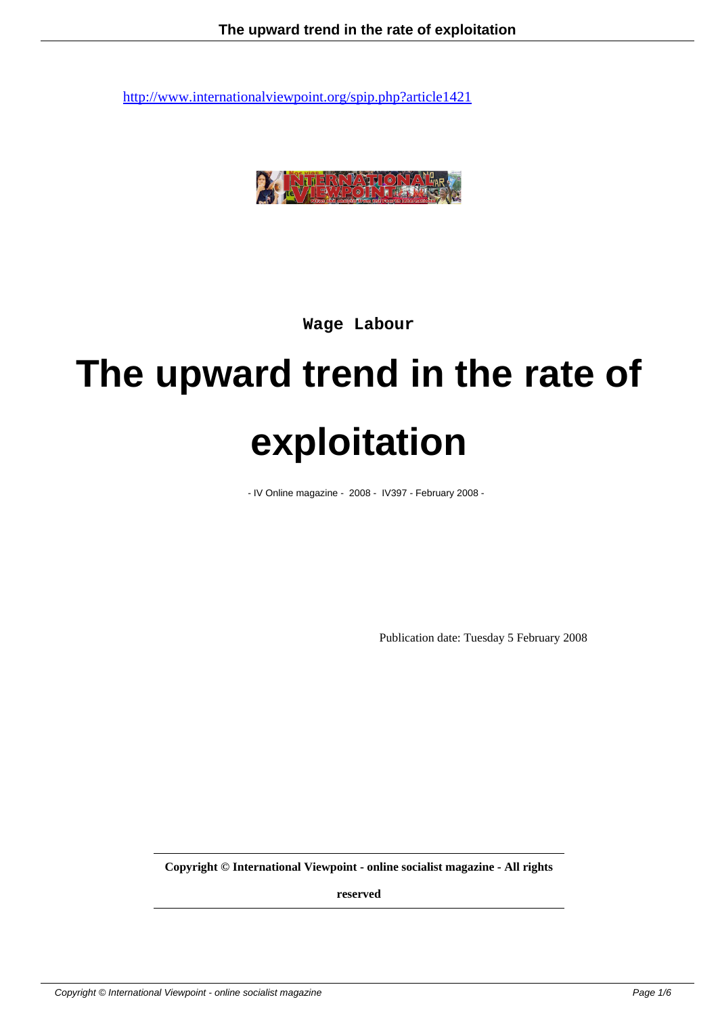

**Wage Labour**

# **The upward trend in the rate of exploitation**

- IV Online magazine - 2008 - IV397 - February 2008 -

Publication date: Tuesday 5 February 2008

**Copyright © International Viewpoint - online socialist magazine - All rights**

**reserved**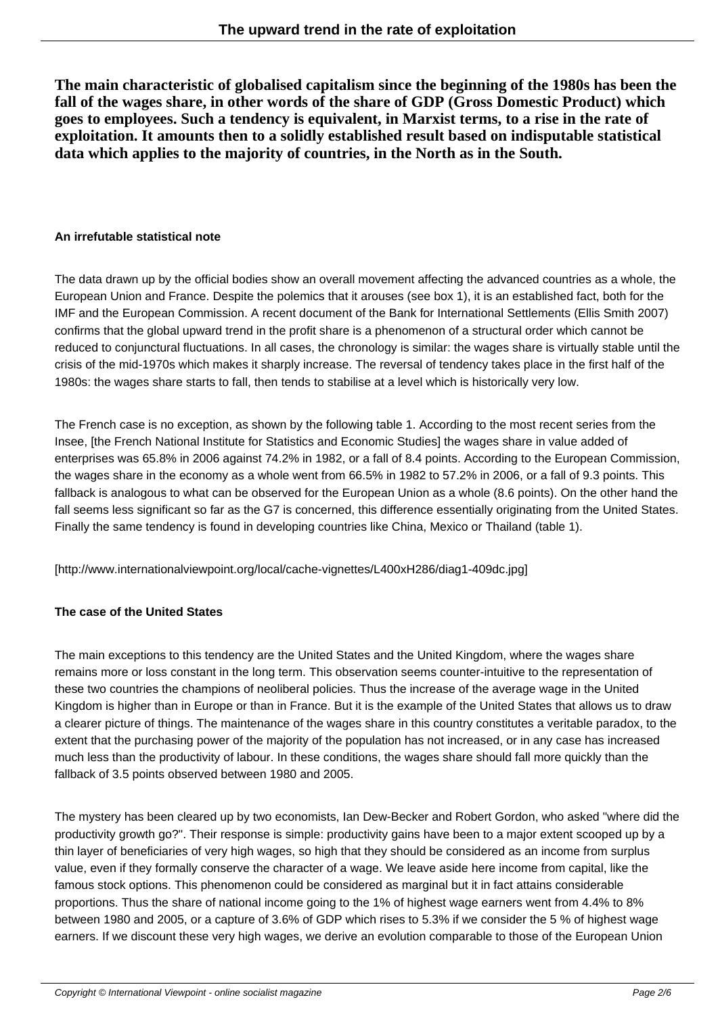**The main characteristic of globalised capitalism since the beginning of the 1980s has been the fall of the wages share, in other words of the share of GDP (Gross Domestic Product) which goes to employees. Such a tendency is equivalent, in Marxist terms, to a rise in the rate of exploitation. It amounts then to a solidly established result based on indisputable statistical data which applies to the majority of countries, in the North as in the South.**

### **An irrefutable statistical note**

The data drawn up by the official bodies show an overall movement affecting the advanced countries as a whole, the European Union and France. Despite the polemics that it arouses (see box 1), it is an established fact, both for the IMF and the European Commission. A recent document of the Bank for International Settlements (Ellis Smith 2007) confirms that the global upward trend in the profit share is a phenomenon of a structural order which cannot be reduced to conjunctural fluctuations. In all cases, the chronology is similar: the wages share is virtually stable until the crisis of the mid-1970s which makes it sharply increase. The reversal of tendency takes place in the first half of the 1980s: the wages share starts to fall, then tends to stabilise at a level which is historically very low.

The French case is no exception, as shown by the following table 1. According to the most recent series from the Insee, [the French National Institute for Statistics and Economic Studies] the wages share in value added of enterprises was 65.8% in 2006 against 74.2% in 1982, or a fall of 8.4 points. According to the European Commission, the wages share in the economy as a whole went from 66.5% in 1982 to 57.2% in 2006, or a fall of 9.3 points. This fallback is analogous to what can be observed for the European Union as a whole (8.6 points). On the other hand the fall seems less significant so far as the G7 is concerned, this difference essentially originating from the United States. Finally the same tendency is found in developing countries like China, Mexico or Thailand (table 1).

[http://www.internationalviewpoint.org/local/cache-vignettes/L400xH286/diag1-409dc.jpg]

## **The case of the United States**

The main exceptions to this tendency are the United States and the United Kingdom, where the wages share remains more or loss constant in the long term. This observation seems counter-intuitive to the representation of these two countries the champions of neoliberal policies. Thus the increase of the average wage in the United Kingdom is higher than in Europe or than in France. But it is the example of the United States that allows us to draw a clearer picture of things. The maintenance of the wages share in this country constitutes a veritable paradox, to the extent that the purchasing power of the majority of the population has not increased, or in any case has increased much less than the productivity of labour. In these conditions, the wages share should fall more quickly than the fallback of 3.5 points observed between 1980 and 2005.

The mystery has been cleared up by two economists, Ian Dew-Becker and Robert Gordon, who asked "where did the productivity growth go?". Their response is simple: productivity gains have been to a major extent scooped up by a thin layer of beneficiaries of very high wages, so high that they should be considered as an income from surplus value, even if they formally conserve the character of a wage. We leave aside here income from capital, like the famous stock options. This phenomenon could be considered as marginal but it in fact attains considerable proportions. Thus the share of national income going to the 1% of highest wage earners went from 4.4% to 8% between 1980 and 2005, or a capture of 3.6% of GDP which rises to 5.3% if we consider the 5 % of highest wage earners. If we discount these very high wages, we derive an evolution comparable to those of the European Union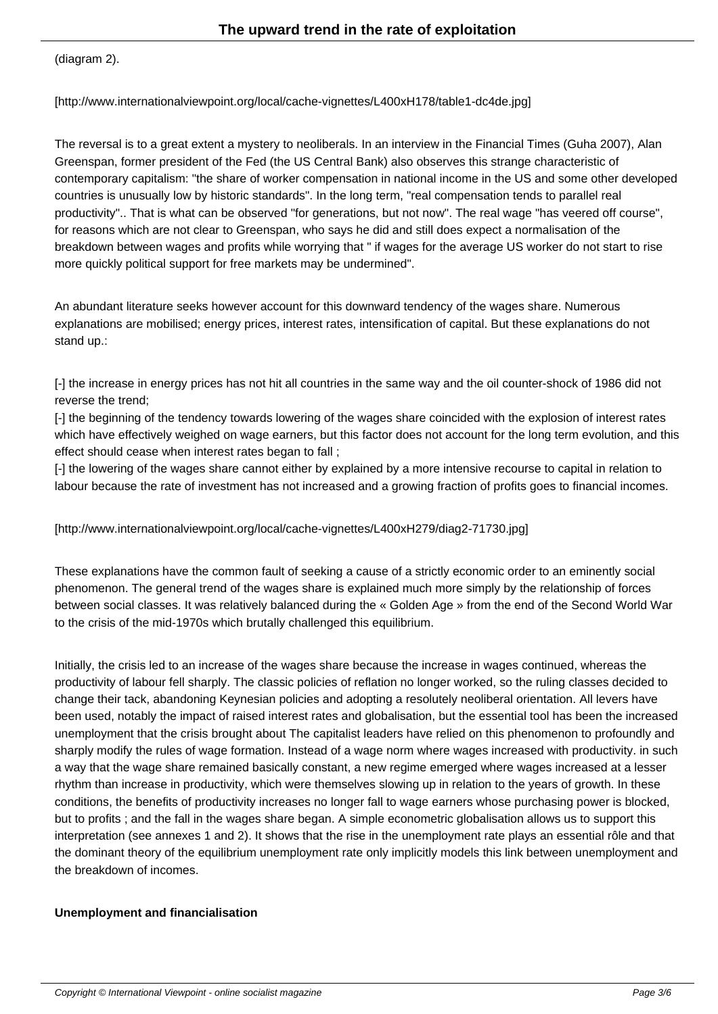$($ ulay $|$ am  $2$ ).

[http://www.internationalviewpoint.org/local/cache-vignettes/L400xH178/table1-dc4de.jpg]

The reversal is to a great extent a mystery to neoliberals. In an interview in the Financial Times (Guha 2007), Alan Greenspan, former president of the Fed (the US Central Bank) also observes this strange characteristic of contemporary capitalism: "the share of worker compensation in national income in the US and some other developed countries is unusually low by historic standards". In the long term, "real compensation tends to parallel real productivity".. That is what can be observed "for generations, but not now". The real wage "has veered off course", for reasons which are not clear to Greenspan, who says he did and still does expect a normalisation of the breakdown between wages and profits while worrying that " if wages for the average US worker do not start to rise more quickly political support for free markets may be undermined".

An abundant literature seeks however account for this downward tendency of the wages share. Numerous explanations are mobilised; energy prices, interest rates, intensification of capital. But these explanations do not stand up.:

[-] the increase in energy prices has not hit all countries in the same way and the oil counter-shock of 1986 did not reverse the trend;

[-] the beginning of the tendency towards lowering of the wages share coincided with the explosion of interest rates which have effectively weighed on wage earners, but this factor does not account for the long term evolution, and this effect should cease when interest rates began to fall ;

[-] the lowering of the wages share cannot either by explained by a more intensive recourse to capital in relation to labour because the rate of investment has not increased and a growing fraction of profits goes to financial incomes.

[http://www.internationalviewpoint.org/local/cache-vignettes/L400xH279/diag2-71730.jpg]

These explanations have the common fault of seeking a cause of a strictly economic order to an eminently social phenomenon. The general trend of the wages share is explained much more simply by the relationship of forces between social classes. It was relatively balanced during the « Golden Age » from the end of the Second World War to the crisis of the mid-1970s which brutally challenged this equilibrium.

Initially, the crisis led to an increase of the wages share because the increase in wages continued, whereas the productivity of labour fell sharply. The classic policies of reflation no longer worked, so the ruling classes decided to change their tack, abandoning Keynesian policies and adopting a resolutely neoliberal orientation. All levers have been used, notably the impact of raised interest rates and globalisation, but the essential tool has been the increased unemployment that the crisis brought about The capitalist leaders have relied on this phenomenon to profoundly and sharply modify the rules of wage formation. Instead of a wage norm where wages increased with productivity. in such a way that the wage share remained basically constant, a new regime emerged where wages increased at a lesser rhythm than increase in productivity, which were themselves slowing up in relation to the years of growth. In these conditions, the benefits of productivity increases no longer fall to wage earners whose purchasing power is blocked, but to profits ; and the fall in the wages share began. A simple econometric globalisation allows us to support this interpretation (see annexes 1 and 2). It shows that the rise in the unemployment rate plays an essential rôle and that the dominant theory of the equilibrium unemployment rate only implicitly models this link between unemployment and the breakdown of incomes.

#### **Unemployment and financialisation**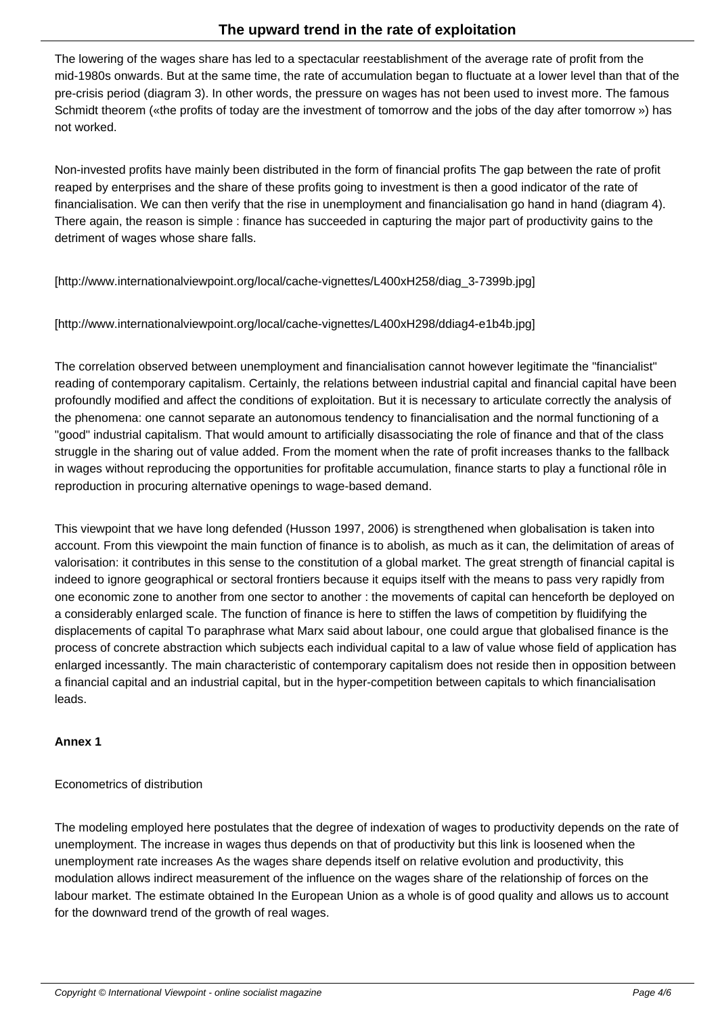The lowering of the wages share has led to a spectacular reestablishment of the average rate of profit from the mid-1980s onwards. But at the same time, the rate of accumulation began to fluctuate at a lower level than that of the pre-crisis period (diagram 3). In other words, the pressure on wages has not been used to invest more. The famous Schmidt theorem («the profits of today are the investment of tomorrow and the jobs of the day after tomorrow ») has not worked.

Non-invested profits have mainly been distributed in the form of financial profits The gap between the rate of profit reaped by enterprises and the share of these profits going to investment is then a good indicator of the rate of financialisation. We can then verify that the rise in unemployment and financialisation go hand in hand (diagram 4). There again, the reason is simple : finance has succeeded in capturing the major part of productivity gains to the detriment of wages whose share falls.

[http://www.internationalviewpoint.org/local/cache-vignettes/L400xH258/diag\_3-7399b.jpg]

[http://www.internationalviewpoint.org/local/cache-vignettes/L400xH298/ddiag4-e1b4b.jpg]

The correlation observed between unemployment and financialisation cannot however legitimate the "financialist" reading of contemporary capitalism. Certainly, the relations between industrial capital and financial capital have been profoundly modified and affect the conditions of exploitation. But it is necessary to articulate correctly the analysis of the phenomena: one cannot separate an autonomous tendency to financialisation and the normal functioning of a "good" industrial capitalism. That would amount to artificially disassociating the role of finance and that of the class struggle in the sharing out of value added. From the moment when the rate of profit increases thanks to the fallback in wages without reproducing the opportunities for profitable accumulation, finance starts to play a functional rôle in reproduction in procuring alternative openings to wage-based demand.

This viewpoint that we have long defended (Husson 1997, 2006) is strengthened when globalisation is taken into account. From this viewpoint the main function of finance is to abolish, as much as it can, the delimitation of areas of valorisation: it contributes in this sense to the constitution of a global market. The great strength of financial capital is indeed to ignore geographical or sectoral frontiers because it equips itself with the means to pass very rapidly from one economic zone to another from one sector to another : the movements of capital can henceforth be deployed on a considerably enlarged scale. The function of finance is here to stiffen the laws of competition by fluidifying the displacements of capital To paraphrase what Marx said about labour, one could argue that globalised finance is the process of concrete abstraction which subjects each individual capital to a law of value whose field of application has enlarged incessantly. The main characteristic of contemporary capitalism does not reside then in opposition between a financial capital and an industrial capital, but in the hyper-competition between capitals to which financialisation leads.

#### **Annex 1**

## Econometrics of distribution

The modeling employed here postulates that the degree of indexation of wages to productivity depends on the rate of unemployment. The increase in wages thus depends on that of productivity but this link is loosened when the unemployment rate increases As the wages share depends itself on relative evolution and productivity, this modulation allows indirect measurement of the influence on the wages share of the relationship of forces on the labour market. The estimate obtained In the European Union as a whole is of good quality and allows us to account for the downward trend of the growth of real wages.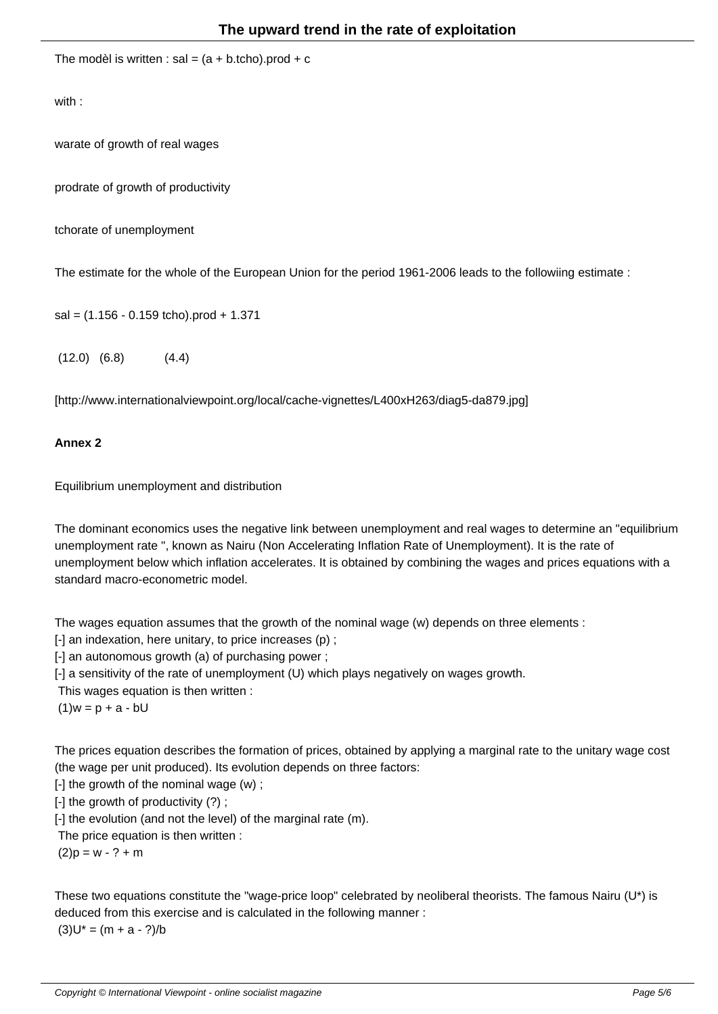The model is written : sal  $=$  (a + b.tcho).prod +  $\sigma$ 

with :

wa rate of growth of real wages

prod rate of growth of productivity

tcho rate of unemployment

The estimate for the whole of the European Union for the period 1961-2006 leads to the followiing estimate :

sal = (1.156 - 0.159 tcho).prod + 1.371

 $(12.0)$   $(6.8)$   $(4.4)$ 

[http://www.internationalviewpoint.org/local/cache-vignettes/L400xH263/diag5-da879.jpg]

#### **Annex 2**

Equilibrium unemployment and distribution

The dominant economics uses the negative link between unemployment and real wages to determine an "equilibrium unemployment rate ", known as Nairu (Non Accelerating Inflation Rate of Unemployment). It is the rate of unemployment below which inflation accelerates. It is obtained by combining the wages and prices equations with a standard macro-econometric model.

The wages equation assumes that the growth of the nominal wage (w) depends on three elements :

[-] an indexation, here unitary, to price increases (p) ;

[-] an autonomous growth (a) of purchasing power ;

[-] a sensitivity of the rate of unemployment (U) which plays negatively on wages growth.

This wages equation is then written :

(1)  $w = p + a - bU$ 

The prices equation describes the formation of prices, obtained by applying a marginal rate to the unitary wage cost (the wage per unit produced). Its evolution depends on three factors:

 $[-]$  the growth of the nominal wage  $(w)$ ;

[-] the growth of productivity (?) ;

[-] the evolution (and not the level) of the marginal rate (m).

The price equation is then written :

 $(2) p = w - ? + m$ 

These two equations constitute the "wage-price loop" celebrated by neoliberal theorists. The famous Nairu (U\*) is deduced from this exercise and is calculated in the following manner :  $(3) U^* = (m + a - ?)/b$